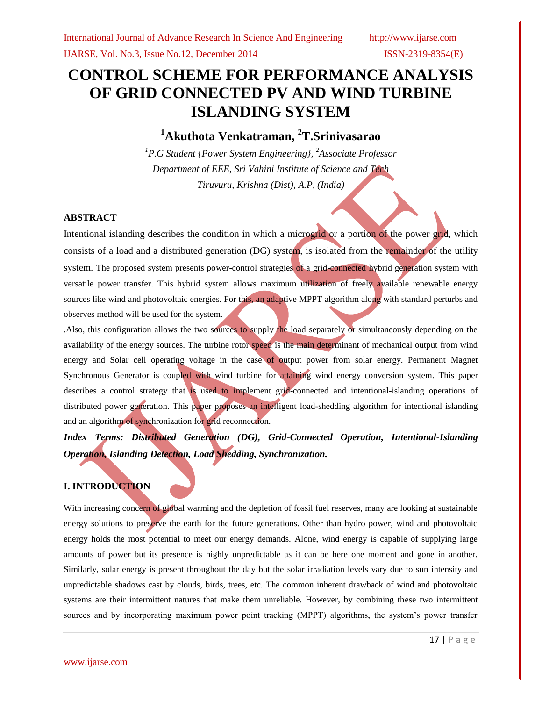# **CONTROL SCHEME FOR PERFORMANCE ANALYSIS OF GRID CONNECTED PV AND WIND TURBINE ISLANDING SYSTEM**

## **<sup>1</sup>Akuthota Venkatraman, <sup>2</sup>T.Srinivasarao**

*<sup>1</sup>P.G Student {Power System Engineering}, <sup>2</sup>Associate Professor Department of EEE, Sri Vahini Institute of Science and Tech Tiruvuru, Krishna (Dist), A.P, (India)*

#### **ABSTRACT**

Intentional islanding describes the condition in which a microgrid or a portion of the power grid, which consists of a load and a distributed generation (DG) system, is isolated from the remainder of the utility system. The proposed system presents power-control strategies of a grid-connected hybrid generation system with versatile power transfer. This hybrid system allows maximum utilization of freely available renewable energy sources like wind and photovoltaic energies. For this, an adaptive MPPT algorithm along with standard perturbs and observes method will be used for the system.

.Also, this configuration allows the two sources to supply the load separately or simultaneously depending on the availability of the energy sources. The turbine rotor speed is the main determinant of mechanical output from wind energy and Solar cell operating voltage in the case of output power from solar energy. Permanent Magnet Synchronous Generator is coupled with wind turbine for attaining wind energy conversion system. This paper describes a control strategy that is used to implement grid-connected and intentional-islanding operations of distributed power generation. This paper proposes an intelligent load-shedding algorithm for intentional islanding and an algorithm of synchronization for grid reconnection.

*Index Terms: Distributed Generation (DG), Grid-Connected Operation, Intentional-Islanding Operation, Islanding Detection, Load Shedding, Synchronization.*

### **I. INTRODUCTION**

With increasing concern of global warming and the depletion of fossil fuel reserves, many are looking at sustainable energy solutions to preserve the earth for the future generations. Other than hydro power, wind and photovoltaic energy holds the most potential to meet our energy demands. Alone, wind energy is capable of supplying large amounts of power but its presence is highly unpredictable as it can be here one moment and gone in another. Similarly, solar energy is present throughout the day but the solar irradiation levels vary due to sun intensity and unpredictable shadows cast by clouds, birds, trees, etc. The common inherent drawback of wind and photovoltaic systems are their intermittent natures that make them unreliable. However, by combining these two intermittent sources and by incorporating maximum power point tracking (MPPT) algorithms, the system's power transfer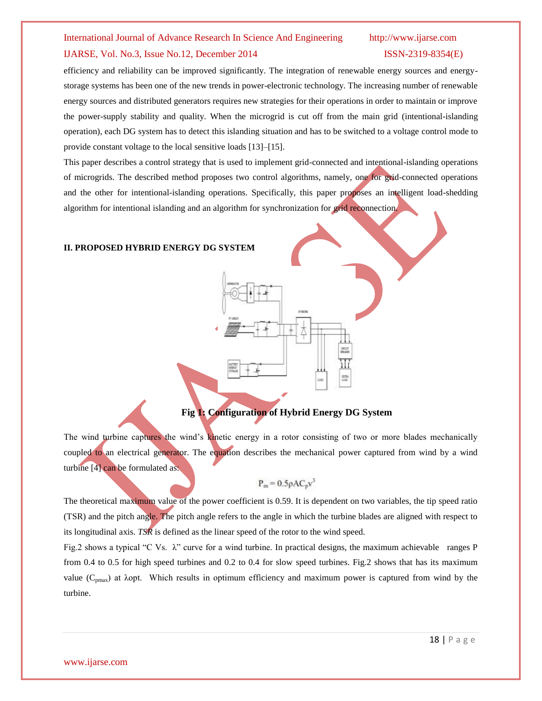#### International Journal of Advance Research In Science And Engineering http://www.ijarse.com

#### IJARSE, Vol. No.3, Issue No.12, December 2014 ISSN-2319-8354(E)

efficiency and reliability can be improved significantly. The integration of renewable energy sources and energystorage systems has been one of the new trends in power-electronic technology. The increasing number of renewable energy sources and distributed generators requires new strategies for their operations in order to maintain or improve the power-supply stability and quality. When the microgrid is cut off from the main grid (intentional-islanding operation), each DG system has to detect this islanding situation and has to be switched to a voltage control mode to provide constant voltage to the local sensitive loads [13]–[15].

This paper describes a control strategy that is used to implement grid-connected and intentional-islanding operations of microgrids. The described method proposes two control algorithms, namely, one for grid-connected operations and the other for intentional-islanding operations. Specifically, this paper proposes an intelligent load-shedding algorithm for intentional islanding and an algorithm for synchronization for grid reconnection.

#### **II. PROPOSED HYBRID ENERGY DG SYSTEM**

### **Fig 1: Configuration of Hybrid Energy DG System**

The wind turbine captures the wind's kinetic energy in a rotor consisting of two or more blades mechanically coupled to an electrical generator. The equation describes the mechanical power captured from wind by a wind turbine [4] can be formulated as:

$$
P_m = 0.5 \rho A C_p v^3
$$

The theoretical maximum value of the power coefficient is 0.59. It is dependent on two variables, the tip speed ratio (TSR) and the pitch angle. The pitch angle refers to the angle in which the turbine blades are aligned with respect to its longitudinal axis. *TSR* is defined as the linear speed of the rotor to the wind speed.

Fig.2 shows a typical "C Vs. λ" curve for a wind turbine. In practical designs, the maximum achievable ranges P from 0.4 to 0.5 for high speed turbines and 0.2 to 0.4 for slow speed turbines. Fig.2 shows that has its maximum value ( $C_{pmax}$ ) at  $\lambda$ opt. Which results in optimum efficiency and maximum power is captured from wind by the turbine.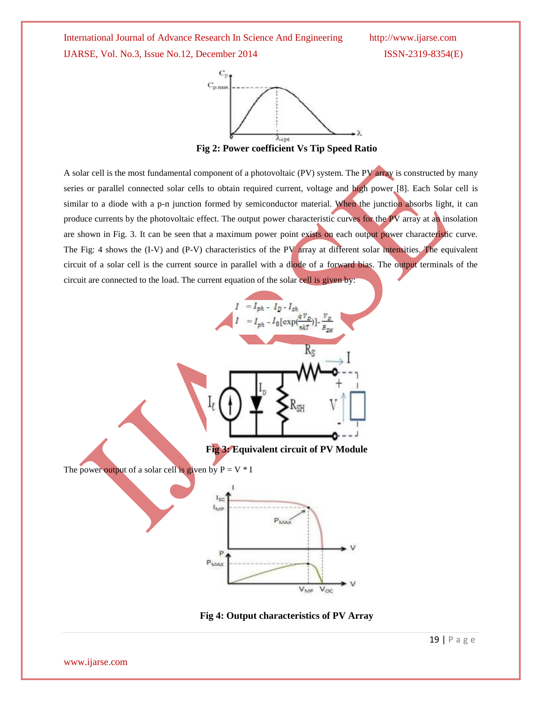International Journal of Advance Research In Science And Engineering http://www.ijarse.com IJARSE, Vol. No.3, Issue No.12, December 2014 ISSN-2319-8354(E)



A solar cell is the most fundamental component of a photovoltaic (PV) system. The PV array is constructed by many series or parallel connected solar cells to obtain required current, voltage and high power [8]. Each Solar cell is similar to a diode with a p-n junction formed by semiconductor material. When the junction absorbs light, it can produce currents by the photovoltaic effect. The output power characteristic curves for the PV array at an insolation are shown in Fig. 3. It can be seen that a maximum power point exists on each output power characteristic curve. The Fig: 4 shows the (I-V) and (P-V) characteristics of the PV array at different solar intensities. The equivalent circuit of a solar cell is the current source in parallel with a diode of a forward bias. The output terminals of the circuit are connected to the load. The current equation of the solar cell is given by:



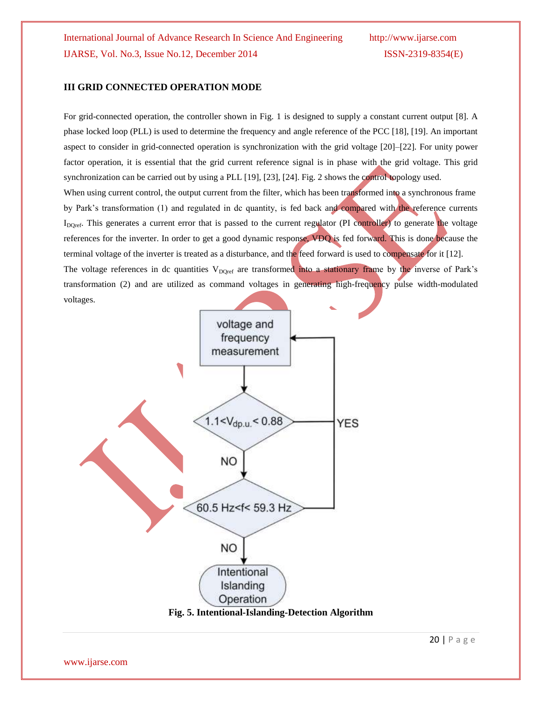### **III GRID CONNECTED OPERATION MODE**

For grid-connected operation, the controller shown in Fig. 1 is designed to supply a constant current output [8]. A phase locked loop (PLL) is used to determine the frequency and angle reference of the PCC [18], [19]. An important aspect to consider in grid-connected operation is synchronization with the grid voltage [20]–[22]. For unity power factor operation, it is essential that the grid current reference signal is in phase with the grid voltage. This grid synchronization can be carried out by using a PLL [19], [23], [24]. Fig. 2 shows the control topology used. When using current control, the output current from the filter, which has been transformed into a synchronous frame by Park's transformation (1) and regulated in dc quantity, is fed back and compared with the reference currents I<sub>DQref</sub>. This generates a current error that is passed to the current regulator (PI controller) to generate the voltage references for the inverter. In order to get a good dynamic response, VDQ is fed forward. This is done because the terminal voltage of the inverter is treated as a disturbance, and the feed forward is used to compensate for it [12]. The voltage references in dc quantities  $V_{DQref}$  are transformed into a stationary frame by the inverse of Park's transformation (2) and are utilized as command voltages in generating high-frequency pulse width-modulated voltages.

voltage and frequency measurement  $1.1 < V_{dp.u} < 0.88$ **YES** NO 60.5 Hz<f< 59.3 Hz NO. Intentional Islanding Operation

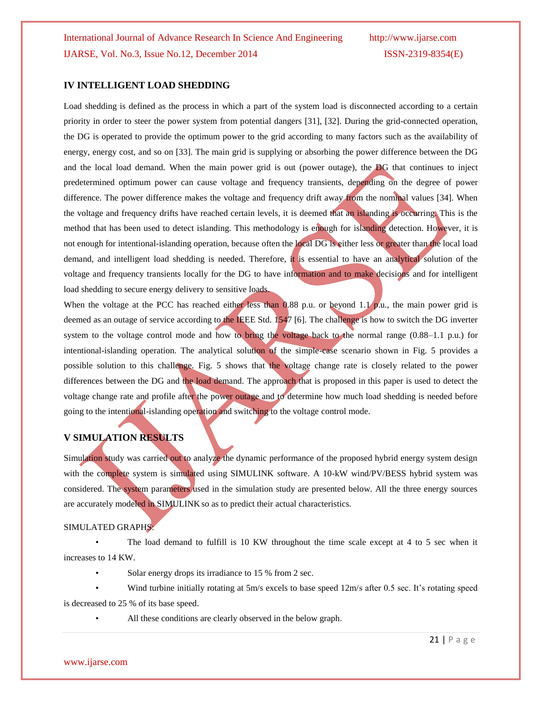#### **IV INTELLIGENT LOAD SHEDDING**

Load shedding is defined as the process in which a part of the system load is disconnected according to a certain priority in order to steer the power system from potential dangers [31], [32]. During the grid-connected operation, the DG is operated to provide the optimum power to the grid according to many factors such as the availability of energy, energy cost, and so on [33]. The main grid is supplying or absorbing the power difference between the DG and the local load demand. When the main power grid is out (power outage), the DG that continues to inject predetermined optimum power can cause voltage and frequency transients, depending on the degree of power difference. The power difference makes the voltage and frequency drift away from the nominal values [34]. When the voltage and frequency drifts have reached certain levels, it is deemed that an islanding is occurring. This is the method that has been used to detect islanding. This methodology is enough for islanding detection. However, it is not enough for intentional-islanding operation, because often the local DG is either less or greater than the local load demand, and intelligent load shedding is needed. Therefore, it is essential to have an analytical solution of the voltage and frequency transients locally for the DG to have information and to make decisions and for intelligent load shedding to secure energy delivery to sensitive loads.

When the voltage at the PCC has reached either less than 0.88 p.u. or beyond 1.1 p.u., the main power grid is deemed as an outage of service according to the IEEE Std. 1547 [6]. The challenge is how to switch the DG inverter system to the voltage control mode and how to bring the voltage back to the normal range (0.88–1.1 p.u.) for intentional-islanding operation. The analytical solution of the simple-case scenario shown in Fig. 5 provides a possible solution to this challenge. Fig. 5 shows that the voltage change rate is closely related to the power differences between the DG and the load demand. The approach that is proposed in this paper is used to detect the voltage change rate and profile after the power outage and to determine how much load shedding is needed before going to the intentional-islanding operation and switching to the voltage control mode.

### **V SIMULATION RESULTS**

Simulation study was carried out to analyze the dynamic performance of the proposed hybrid energy system design with the complete system is simulated using SIMULINK software. A 10-kW wind/PV/BESS hybrid system was considered. The system parameters used in the simulation study are presented below. All the three energy sources are accurately modeled in SIMULINK so as to predict their actual characteristics.

#### SIMULATED GRAPHS:

• The load demand to fulfill is 10 KW throughout the time scale except at 4 to 5 sec when it increases to 14 KW.

Solar energy drops its irradiance to 15 % from 2 sec.

• Wind turbine initially rotating at 5m/s excels to base speed 12m/s after 0.5 sec. It's rotating speed is decreased to 25 % of its base speed.

All these conditions are clearly observed in the below graph.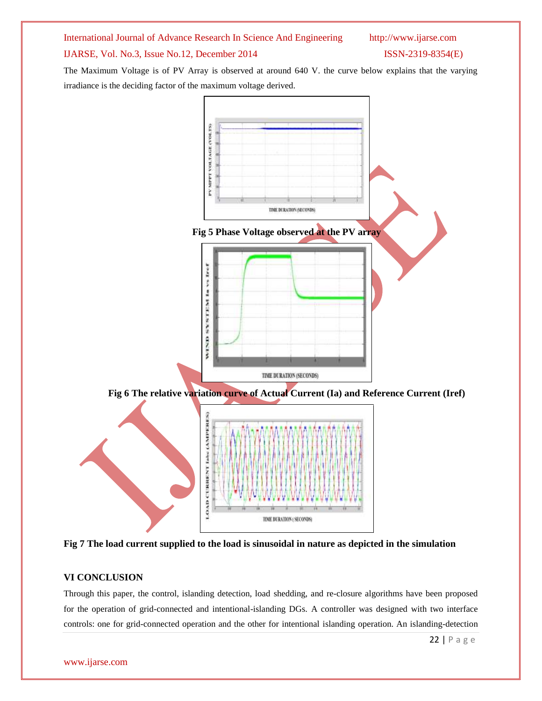

**Fig 7 The load current supplied to the load is sinusoidal in nature as depicted in the simulation**

### **VI CONCLUSION**

Through this paper, the control, islanding detection, load shedding, and re-closure algorithms have been proposed for the operation of grid-connected and intentional-islanding DGs. A controller was designed with two interface controls: one for grid-connected operation and the other for intentional islanding operation. An islanding-detection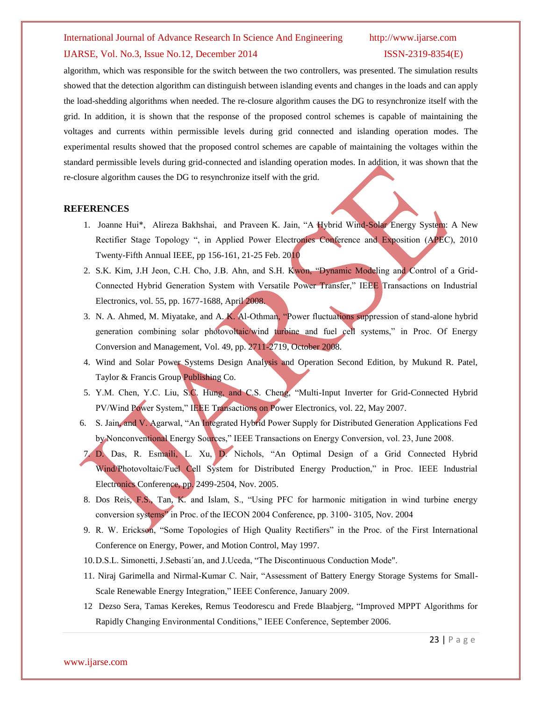#### International Journal of Advance Research In Science And Engineering http://www.ijarse.com

### IJARSE, Vol. No.3, Issue No.12, December 2014 ISSN-2319-8354(E)

algorithm, which was responsible for the switch between the two controllers, was presented. The simulation results showed that the detection algorithm can distinguish between islanding events and changes in the loads and can apply the load-shedding algorithms when needed. The re-closure algorithm causes the DG to resynchronize itself with the grid. In addition, it is shown that the response of the proposed control schemes is capable of maintaining the voltages and currents within permissible levels during grid connected and islanding operation modes. The experimental results showed that the proposed control schemes are capable of maintaining the voltages within the standard permissible levels during grid-connected and islanding operation modes. In addition, it was shown that the re-closure algorithm causes the DG to resynchronize itself with the grid.

#### **REFERENCES**

- 1. Joanne Hui\*, Alireza Bakhshai, and Praveen K. Jain, "A Hybrid Wind-Solar Energy System: A New Rectifier Stage Topology ", in Applied Power Electronics Conference and Exposition (APEC), 2010 Twenty-Fifth Annual IEEE, pp 156-161, 21-25 Feb. 2010
- 2. S.K. Kim, J.H Jeon, C.H. Cho, J.B. Ahn, and S.H. Kwon, "Dynamic Modeling and Control of a Grid-Connected Hybrid Generation System with Versatile Power Transfer," IEEE Transactions on Industrial Electronics, vol. 55, pp. 1677-1688, April 2008.
- 3. N. A. Ahmed, M. Miyatake, and A. K. Al-Othman, "Power fluctuations suppression of stand-alone hybrid generation combining solar photovoltaic/wind turbine and fuel cell systems," in Proc. Of Energy Conversion and Management, Vol. 49, pp. 2711-2719, October 2008.
- 4. Wind and Solar Power Systems Design Analysis and Operation Second Edition, by Mukund R. Patel, Taylor & Francis Group Publishing Co.
- 5. Y.M. Chen, Y.C. Liu, S.C. Hung, and C.S. Cheng, "Multi-Input Inverter for Grid-Connected Hybrid PV/Wind Power System," IEEE Transactions on Power Electronics, vol. 22, May 2007.
- 6. S. Jain, and V. Agarwal, "An Integrated Hybrid Power Supply for Distributed Generation Applications Fed by Nonconventional Energy Sources," IEEE Transactions on Energy Conversion, vol. 23, June 2008.
- 7. D. Das, R. Esmaili, L. Xu, D. Nichols, "An Optimal Design of a Grid Connected Hybrid Wind/Photovoltaic/Fuel Cell System for Distributed Energy Production," in Proc. IEEE Industrial Electronics Conference, pp. 2499-2504, Nov. 2005.
- 8. Dos Reis, F.S., Tan, K. and Islam, S., "Using PFC for harmonic mitigation in wind turbine energy conversion systems" in Proc. of the IECON 2004 Conference, pp. 3100- 3105, Nov. 2004
- 9. R. W. Erickson, "Some Topologies of High Quality Rectifiers" in the Proc. of the First International Conference on Energy, Power, and Motion Control, May 1997.
- 10.D.S.L. Simonetti, J.Sebasti´an, and J.Uceda, "The Discontinuous Conduction Mode".
- 11. Niraj Garimella and Nirmal-Kumar C. Nair, "Assessment of Battery Energy Storage Systems for Small-Scale Renewable Energy Integration," IEEE Conference, January 2009.
- 12 Dezso Sera, Tamas Kerekes, Remus Teodorescu and Frede Blaabjerg, "Improved MPPT Algorithms for Rapidly Changing Environmental Conditions," IEEE Conference, September 2006.